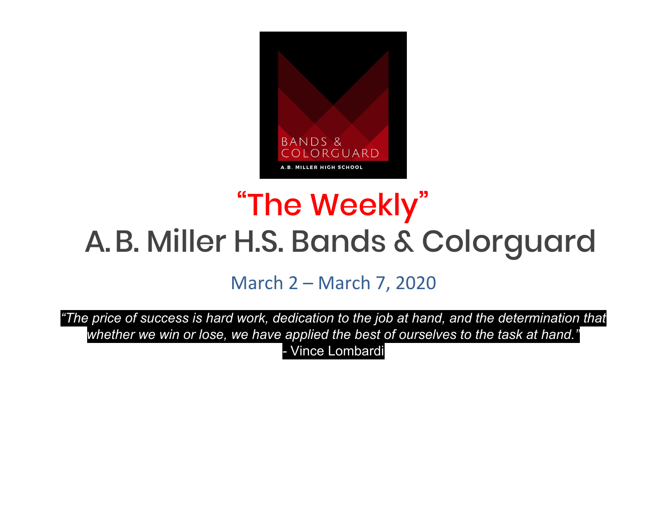

# "The Weekly " A.B. Miller H.S. Bands & Colorguard

March 2 – March 7, 2020

*"The price of success is hard work, dedication to the job at hand, and the determination that whether we win or lose, we have applied the best of ourselves to the task at hand." -* Vince Lombardi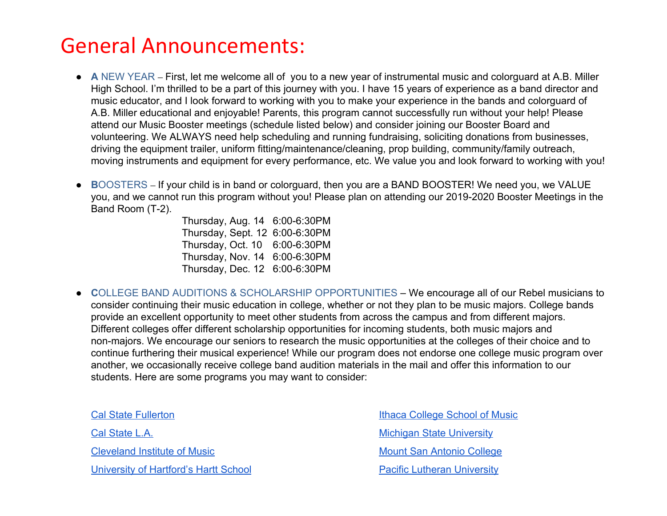## General Announcements:

- **A** NEW YEAR First, let me welcome all of you to a new year of instrumental music and colorguard at A.B. Miller High School. I'm thrilled to be a part of this journey with you. I have 15 years of experience as a band director and music educator, and I look forward to working with you to make your experience in the bands and colorguard of A.B. Miller educational and enjoyable! Parents, this program cannot successfully run without your help! Please attend our Music Booster meetings (schedule listed below) and consider joining our Booster Board and volunteering. We ALWAYS need help scheduling and running fundraising, soliciting donations from businesses, driving the equipment trailer, uniform fitting/maintenance/cleaning, prop building, community/family outreach, moving instruments and equipment for every performance, etc. We value you and look forward to working with you!
- **● B**OOSTERS If your child is in band or colorguard, then you are a BAND BOOSTER! We need you, we VALUE you, and we cannot run this program without you! Please plan on attending our 2019-2020 Booster Meetings in the Band Room (T-2).

Thursday, Aug. 14 6:00-6:30PM Thursday, Sept. 12 6:00-6:30PM Thursday, Oct. 10 6:00-6:30PM Thursday, Nov. 14 6:00-6:30PM Thursday, Dec. 12 6:00-6:30PM

● **C**OLLEGE BAND AUDITIONS & SCHOLARSHIP OPPORTUNITIES – We encourage all of our Rebel musicians to consider continuing their music education in college, whether or not they plan to be music majors. College bands provide an excellent opportunity to meet other students from across the campus and from different majors. Different colleges offer different scholarship opportunities for incoming students, both music majors and non-majors. We encourage our seniors to research the music opportunities at the colleges of their choice and to continue furthering their musical experience! While our program does not endorse one college music program over another, we occasionally receive college band audition materials in the mail and offer this information to our students. Here are some programs you may want to consider:

Cal State Fullerton [Cal State L.A.](http://www.calstatela.edu/mtd) [Cleveland Institute of Music](http://www.cim.edu/admission) [University of Hartford's Hartt School](http://www.hartford.edu/hartt)

[Ithaca College School of Music](http://www.ithaca.edu/sma) [Michigan State University](http://www.music.msu.edu/explore) [Mount San Antonio College](http://www.mtsacband.com/) **[Pacific Lutheran University](http://www.plu.edu/music)**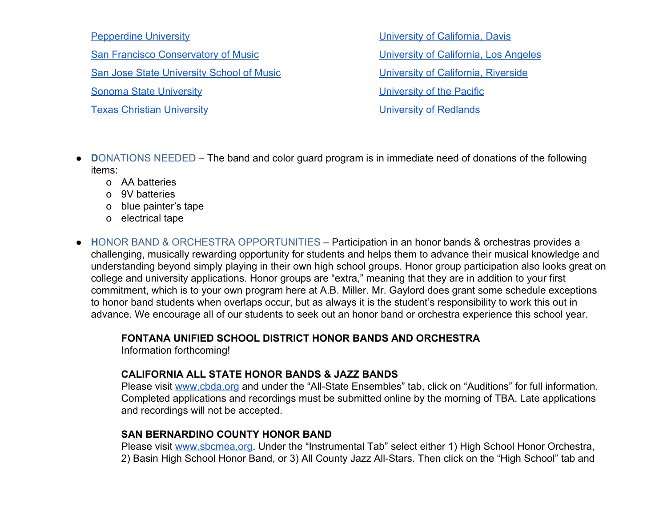#### [Pepperdine University](http://seaver.pepperdine.edu/finearts/undergraduate/music/)

[San Francisco Conservatory of Music](http://www.scfm.edu/)

[San Jose State University School of Music](http://www.sjsu.edu/musicanddance/)

[Sonoma State University](http://www.sonoma.edu/music)

[Texas Christian University](http://www.music.tcu.edu/)

[University of California, Davis](http://www.music.ucdavic.edu/) [University of California, Los Angeles](http://www.band.ucla.edu/) [University of California, Riverside](http://www.music.ucr.edu/) [University of the Pacific](http://www.go.pacific.edu/audition) [University of Redlands](http://www.redlands.edu/music)

- **D**ONATIONS NEEDED The band and color guard program is in immediate need of donations of the following items:
	- o AA batteries
	- o 9V batteries
	- o blue painter's tape
	- o electrical tape
- **H**ONOR BAND & ORCHESTRA OPPORTUNITIES Participation in an honor bands & orchestras provides a challenging, musically rewarding opportunity for students and helps them to advance their musical knowledge and understanding beyond simply playing in their own high school groups. Honor group participation also looks great on college and university applications. Honor groups are "extra," meaning that they are in addition to your first commitment, which is to your own program here at A.B. Miller. Mr. Gaylord does grant some schedule exceptions to honor band students when overlaps occur, but as always it is the student's responsibility to work this out in advance. We encourage all of our students to seek out an honor band or orchestra experience this school year.

### **FONTANA UNIFIED SCHOOL DISTRICT HONOR BANDS AND ORCHESTRA**

Information forthcoming!

### **CALIFORNIA ALL STATE HONOR BANDS & JAZZ BANDS**

Please visit [www.cbda.org](http://www.cbda.org/) and under the "All-State Ensembles" tab, click on "Auditions" for full information. Completed applications and recordings must be submitted online by the morning of TBA. Late applications and recordings will not be accepted.

### **SAN BERNARDINO COUNTY HONOR BAND**

Please visit [www.sbcmea.org](http://www.sbcmea.org/). Under the "Instrumental Tab" select either 1) High School Honor Orchestra, 2) Basin High School Honor Band, or 3) All County Jazz All-Stars. Then click on the "High School" tab and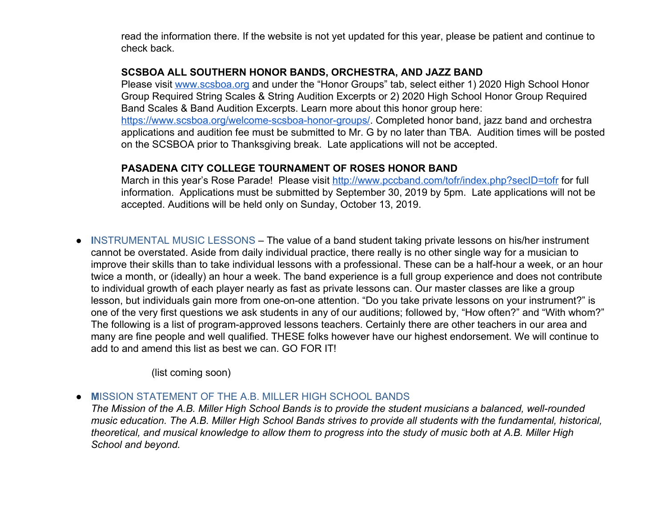read the information there. If the website is not yet updated for this year, please be patient and continue to check back.

### **SCSBOA ALL SOUTHERN HONOR BANDS, ORCHESTRA, AND JAZZ BAND**

Please visit [www.scsboa.org](http://www.scsboa.org/) and under the "Honor Groups" tab, select either 1) 2020 High School Honor Group Required String Scales & String Audition Excerpts or 2) 2020 High School Honor Group Required Band Scales & Band Audition Excerpts. Learn more about this honor group here: [https://www.scsboa.org/welcome-scsboa-honor-groups/.](https://www.scsboa.org/welcome-scsboa-honor-groups/) Completed honor band, jazz band and orchestra applications and audition fee must be submitted to Mr. G by no later than TBA. Audition times will be posted on the SCSBOA prior to Thanksgiving break. Late applications will not be accepted.

### **PASADENA CITY COLLEGE TOURNAMENT OF ROSES HONOR BAND**

March in this year's Rose Parade! Please visit<http://www.pccband.com/tofr/index.php?secID=tofr> for full information. Applications must be submitted by September 30, 2019 by 5pm. Late applications will not be accepted. Auditions will be held only on Sunday, October 13, 2019.

● **I**NSTRUMENTAL MUSIC LESSONS – The value of a band student taking private lessons on his/her instrument cannot be overstated. Aside from daily individual practice, there really is no other single way for a musician to improve their skills than to take individual lessons with a professional. These can be a half-hour a week, or an hour twice a month, or (ideally) an hour a week. The band experience is a full group experience and does not contribute to individual growth of each player nearly as fast as private lessons can. Our master classes are like a group lesson, but individuals gain more from one-on-one attention. "Do you take private lessons on your instrument?" is one of the very first questions we ask students in any of our auditions; followed by, "How often?" and "With whom?" The following is a list of program-approved lessons teachers. Certainly there are other teachers in our area and many are fine people and well qualified. THESE folks however have our highest endorsement. We will continue to add to and amend this list as best we can. GO FOR IT!

(list coming soon)

● **M**ISSION STATEMENT OF THE A.B. MILLER HIGH SCHOOL BANDS

*The Mission of the A.B. Miller High School Bands is to provide the student musicians a balanced, well-rounded music education. The A.B. Miller High School Bands strives to provide all students with the fundamental, historical, theoretical, and musical knowledge to allow them to progress into the study of music both at A.B. Miller High School and beyond.*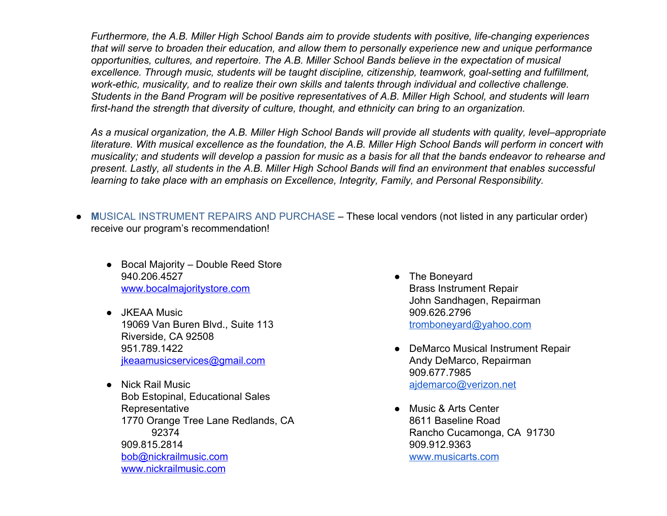*Furthermore, the A.B. Miller High School Bands aim to provide students with positive, life-changing experiences that will serve to broaden their education, and allow them to personally experience new and unique performance opportunities, cultures, and repertoire. The A.B. Miller School Bands believe in the expectation of musical excellence. Through music, students will be taught discipline, citizenship, teamwork, goal-setting and fulfillment, work-ethic, musicality, and to realize their own skills and talents through individual and collective challenge. Students in the Band Program will be positive representatives of A.B. Miller High School, and students will learn first-hand the strength that diversity of culture, thought, and ethnicity can bring to an organization.*

*As a musical organization, the A.B. Miller High School Bands will provide all students with quality, level–appropriate literature. With musical excellence as the foundation, the A.B. Miller High School Bands will perform in concert with musicality; and students will develop a passion for music as a basis for all that the bands endeavor to rehearse and present. Lastly, all students in the A.B. Miller High School Bands will find an environment that enables successful learning to take place with an emphasis on Excellence, Integrity, Family, and Personal Responsibility.*

- **M**USICAL INSTRUMENT REPAIRS AND PURCHASE These local vendors (not listed in any particular order) receive our program's recommendation!
	- Bocal Majority Double Reed Store 940.206.4527 [www.bocalmajoritystore.com](http://www.bocalmajoritystore.com/)
	- JKEAA Music 19069 Van Buren Blvd., Suite 113 Riverside, CA 92508 951.789.1422 [jkeaamusicservices@gmail.com](mailto:jkeaamusicservices@gmail.com)
	- Nick Rail Music Bob Estopinal, Educational Sales **Representative** 1770 Orange Tree Lane Redlands, CA 92374 909.815.2814 [bob@nickrailmusic.com](mailto:bob@nickrailmusic.com) [www.nickrailmusic.com](http://www.nickrailmusic.com/)
- The Boneyard Brass Instrument Repair John Sandhagen, Repairman 909.626.2796 [tromboneyard@yahoo.com](mailto:tromboneyard@yahoo.com)
- DeMarco Musical Instrument Repair Andy DeMarco, Repairman 909.677.7985 [ajdemarco@verizon.net](mailto:ajdemarco@verizon.net)
- Music & Arts Center 8611 Baseline Road Rancho Cucamonga, CA 91730 909.912.9363 [www.musicarts.com](http://www.musicarts.com/)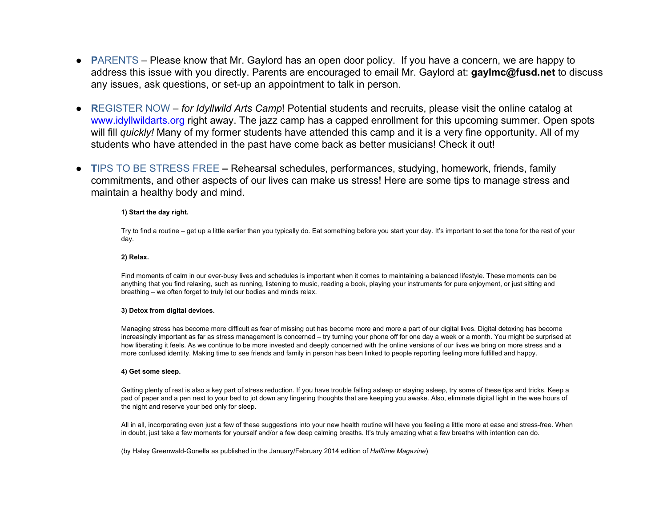- **PARENTS** Please know that Mr. Gaylord has an open door policy. If you have a concern, we are happy to address this issue with you directly. Parents are encouraged to email Mr. Gaylord at: **gaylmc@fusd.net** to discuss any issues, ask questions, or set-up an appointment to talk in person.
- **R**EGISTER NOW *for Idyllwild Arts Camp*! Potential students and recruits, please visit the online catalog at www.idyllwildarts.org right away. The jazz camp has a capped enrollment for this upcoming summer. Open spots will fill *quickly!* Many of my former students have attended this camp and it is a very fine opportunity. All of my students who have attended in the past have come back as better musicians! Check it out!
- **T**IPS TO BE STRESS FREE Rehearsal schedules, performances, studying, homework, friends, family commitments, and other aspects of our lives can make us stress! Here are some tips to manage stress and maintain a healthy body and mind.

#### **1) Start the day right.**

Try to find a routine – get up a little earlier than you typically do. Eat something before you start your day. It's important to set the tone for the rest of your day.

#### **2) Relax.**

Find moments of calm in our ever-busy lives and schedules is important when it comes to maintaining a balanced lifestyle. These moments can be anything that you find relaxing, such as running, listening to music, reading a book, playing your instruments for pure enjoyment, or just sitting and breathing – we often forget to truly let our bodies and minds relax.

#### **3) Detox from digital devices.**

Managing stress has become more difficult as fear of missing out has become more and more a part of our digital lives. Digital detoxing has become increasingly important as far as stress management is concerned – try turning your phone off for one day a week or a month. You might be surprised at how liberating it feels. As we continue to be more invested and deeply concerned with the online versions of our lives we bring on more stress and a more confused identity. Making time to see friends and family in person has been linked to people reporting feeling more fulfilled and happy.

#### **4) Get some sleep.**

Getting plenty of rest is also a key part of stress reduction. If you have trouble falling asleep or staying asleep, try some of these tips and tricks. Keep a pad of paper and a pen next to your bed to jot down any lingering thoughts that are keeping you awake. Also, eliminate digital light in the wee hours of the night and reserve your bed only for sleep.

All in all, incorporating even just a few of these suggestions into your new health routine will have you feeling a little more at ease and stress-free. When in doubt, just take a few moments for yourself and/or a few deep calming breaths. It's truly amazing what a few breaths with intention can do.

(by Haley Greenwald-Gonella as published in the January/February 2014 edition of *Halftime Magazine*)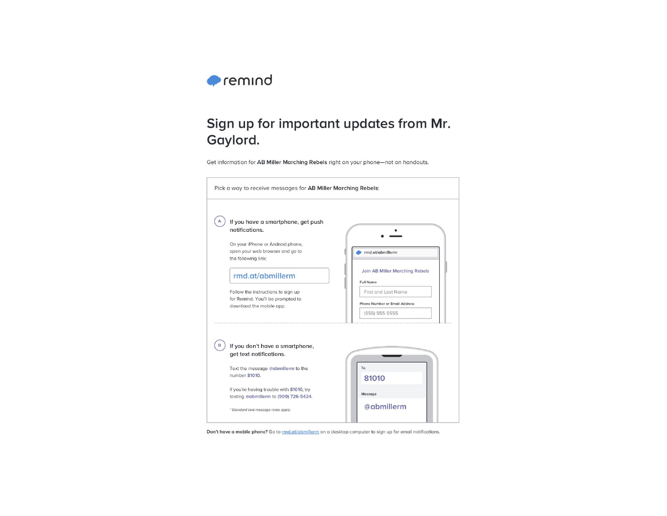

### Sign up for important updates from Mr. Gaylord.

Get information for AB Miller Marching Rebels right on your phone-not on handouts.

| If you have a smartphone, get push                            |                                      |  |  |
|---------------------------------------------------------------|--------------------------------------|--|--|
| notifications.                                                |                                      |  |  |
| On your iPhone or Android phone,                              |                                      |  |  |
| open your web browser and go to                               | rmd.at/abmillerm                     |  |  |
| the following link:                                           |                                      |  |  |
|                                                               | Join AB Miller Marching Rebels       |  |  |
| rmd.at/abmillerm                                              | <b>Full Name</b>                     |  |  |
| Follow the instructions to sign up                            | First and Last Name                  |  |  |
| for Remind. You'll be prompted to<br>download the mobile app. | <b>Phone Number or Email Address</b> |  |  |
|                                                               | $(555) 555-5555$                     |  |  |
|                                                               |                                      |  |  |
|                                                               |                                      |  |  |
| If you don't have a smartphone,<br>get text notifications.    |                                      |  |  |
|                                                               |                                      |  |  |
|                                                               |                                      |  |  |
| Text the message @abmillerm to the                            | To                                   |  |  |
| number 81010.                                                 | 81010                                |  |  |
| If you're having trouble with 81010, try                      |                                      |  |  |
| texting @abmillerm to (909) 726-5424.                         | Message                              |  |  |

Don't have a mobile phone? Go to *rmd.at/abmillerm* on a desktop computer to sign up for email notifications.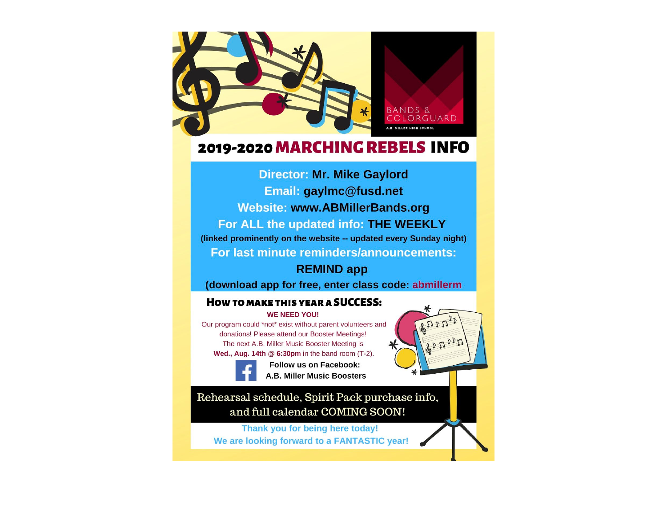

### 2019-2020 MARCHING REBELS INFO

**Director: Mr. Mike Gaylord** Email: gaylmc@fusd.net **Website: www.ABMillerBands.org** For ALL the updated info: THE WEEKLY (linked prominently on the website -- updated every Sunday night) For last minute reminders/announcements:

### **REMIND app**

(download app for free, enter class code: abmillerm

### **HOW TO MAKE THIS YEAR A SUCCESS:**

#### **WE NEED YOU!**

Our program could \*not\* exist without parent volunteers and donations! Please attend our Booster Meetings! The next A.B. Miller Music Booster Meeting is Wed., Aug. 14th  $@$  6:30pm in the band room (T-2).

**Follow us on Facebook: A.B. Miller Music Boosters** 

### Rehearsal schedule, Spirit Pack purchase info, and full calendar COMING SOON!

Thank you for being here today! We are looking forward to a FANTASTIC year!

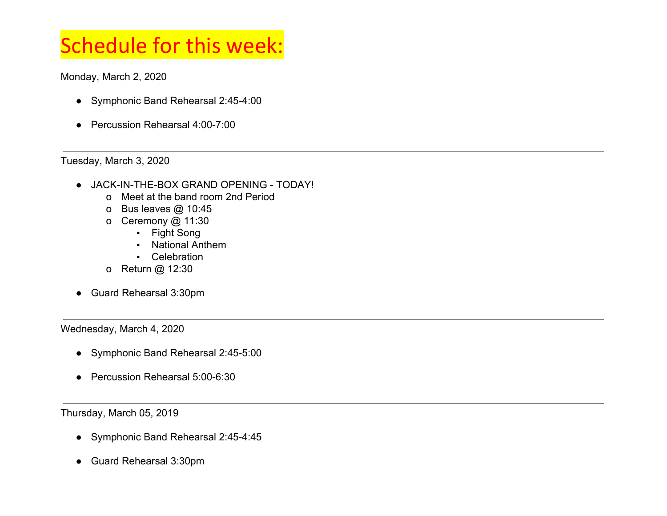## Schedule for this week:

Monday, March 2, 2020

- Symphonic Band Rehearsal 2:45-4:00
- Percussion Rehearsal 4:00-7:00

Tuesday, March 3, 2020

- JACK-IN-THE-BOX GRAND OPENING TODAY!
	- o Meet at the band room 2nd Period
	- o Bus leaves @ 10:45
	- o Ceremony @ 11:30
		- Fight Song
		- National Anthem
		- Celebration
	- o Return @ 12:30
- Guard Rehearsal 3:30pm

Wednesday, March 4, 2020

- Symphonic Band Rehearsal 2:45-5:00
- Percussion Rehearsal 5:00-6:30

Thursday, March 05, 2019

- Symphonic Band Rehearsal 2:45-4:45
- Guard Rehearsal 3:30pm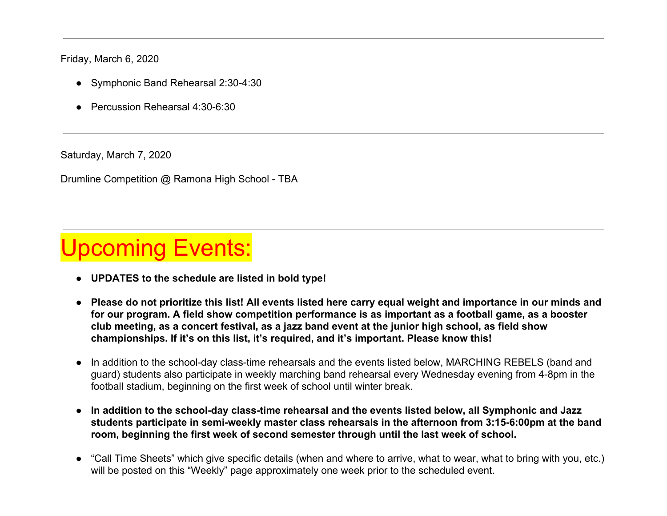Friday, March 6, 2020

- Symphonic Band Rehearsal 2:30-4:30
- Percussion Rehearsal 4:30-6:30

Saturday, March 7, 2020

Drumline Competition @ Ramona High School - TBA

## pcoming Events:

- **● UPDATES to the schedule are listed in bold type!**
- **● Please do not prioritize this list! All events listed here carry equal weight and importance in our minds and for our program. A field show competition performance is as important as a football game, as a booster club meeting, as a concert festival, as a jazz band event at the junior high school, as field show championships. If it's on this list, it's required, and it's important. Please know this!**
- In addition to the school-day class-time rehearsals and the events listed below, MARCHING REBELS (band and guard) students also participate in weekly marching band rehearsal every Wednesday evening from 4-8pm in the football stadium, beginning on the first week of school until winter break.
- **● In addition to the school-day class-time rehearsal and the events listed below, all Symphonic and Jazz students participate in semi-weekly master class rehearsals in the afternoon from 3:15-6:00pm at the band room, beginning the first week of second semester through until the last week of school.**
- "Call Time Sheets" which give specific details (when and where to arrive, what to wear, what to bring with you, etc.) will be posted on this "Weekly" page approximately one week prior to the scheduled event.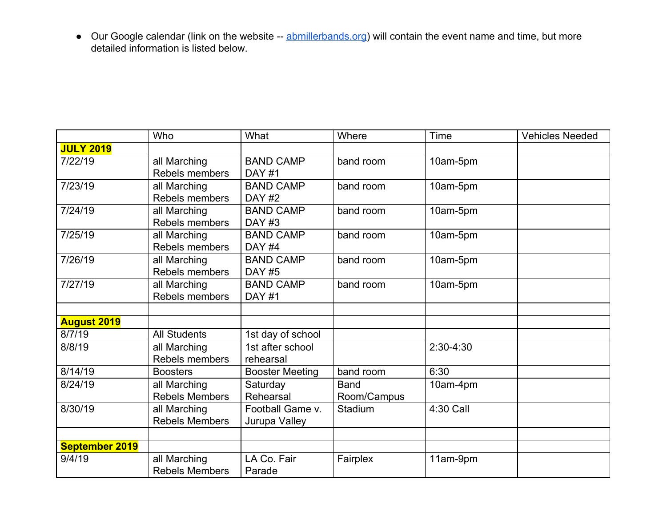• Our Google calendar (link on the website -- [abmillerbands.org\)](http://abmillerbands.org/) will contain the event name and time, but more detailed information is listed below.

|                       | Who                   | What                   | Where       | Time      | <b>Vehicles Needed</b> |
|-----------------------|-----------------------|------------------------|-------------|-----------|------------------------|
| <b>JULY 2019</b>      |                       |                        |             |           |                        |
| 7/22/19               | all Marching          | <b>BAND CAMP</b>       | band room   | 10am-5pm  |                        |
|                       | Rebels members        | <b>DAY #1</b>          |             |           |                        |
| 7/23/19               | all Marching          | <b>BAND CAMP</b>       | band room   | 10am-5pm  |                        |
|                       | Rebels members        | <b>DAY #2</b>          |             |           |                        |
| 7/24/19               | all Marching          | <b>BAND CAMP</b>       | band room   | 10am-5pm  |                        |
|                       | Rebels members        | DAY#3                  |             |           |                        |
| 7/25/19               | all Marching          | <b>BAND CAMP</b>       | band room   | 10am-5pm  |                        |
|                       | Rebels members        | DAY#4                  |             |           |                        |
| 7/26/19               | all Marching          | <b>BAND CAMP</b>       | band room   | 10am-5pm  |                        |
|                       | Rebels members        | <b>DAY #5</b>          |             |           |                        |
| 7/27/19               | all Marching          | <b>BAND CAMP</b>       | band room   | 10am-5pm  |                        |
|                       | <b>Rebels members</b> | <b>DAY #1</b>          |             |           |                        |
|                       |                       |                        |             |           |                        |
| <b>August 2019</b>    |                       |                        |             |           |                        |
| 8/7/19                | <b>All Students</b>   | 1st day of school      |             |           |                        |
| 8/8/19                | all Marching          | 1st after school       |             | 2:30-4:30 |                        |
|                       | Rebels members        | rehearsal              |             |           |                        |
| 8/14/19               | <b>Boosters</b>       | <b>Booster Meeting</b> | band room   | 6:30      |                        |
| 8/24/19               | all Marching          | Saturday               | <b>Band</b> | 10am-4pm  |                        |
|                       | <b>Rebels Members</b> | Rehearsal              | Room/Campus |           |                        |
| 8/30/19               | all Marching          | Football Game v.       | Stadium     | 4:30 Call |                        |
|                       | <b>Rebels Members</b> | Jurupa Valley          |             |           |                        |
|                       |                       |                        |             |           |                        |
| <b>September 2019</b> |                       |                        |             |           |                        |
| 9/4/19                | all Marching          | LA Co. Fair            | Fairplex    | 11am-9pm  |                        |
|                       | <b>Rebels Members</b> | Parade                 |             |           |                        |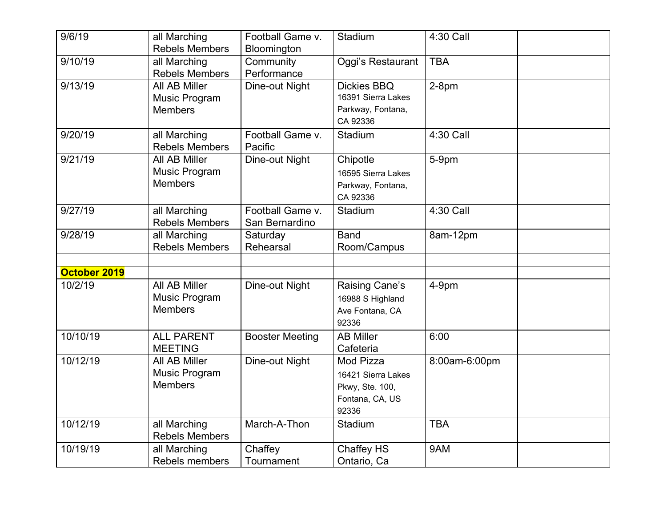| 9/6/19       | all Marching<br><b>Rebels Members</b>            | Football Game v.<br>Bloomington    | Stadium                                                                        | 4:30 Call     |  |
|--------------|--------------------------------------------------|------------------------------------|--------------------------------------------------------------------------------|---------------|--|
| 9/10/19      | all Marching<br><b>Rebels Members</b>            | Community<br>Performance           | Oggi's Restaurant                                                              | <b>TBA</b>    |  |
| 9/13/19      | All AB Miller<br>Music Program<br><b>Members</b> | Dine-out Night                     | <b>Dickies BBQ</b><br>16391 Sierra Lakes<br>Parkway, Fontana,<br>CA 92336      | $2-8pm$       |  |
| 9/20/19      | all Marching<br><b>Rebels Members</b>            | Football Game v.<br>Pacific        | Stadium                                                                        | 4:30 Call     |  |
| 9/21/19      | All AB Miller<br>Music Program<br><b>Members</b> | Dine-out Night                     | Chipotle<br>16595 Sierra Lakes<br>Parkway, Fontana,<br>CA 92336                | 5-9pm         |  |
| 9/27/19      | all Marching<br><b>Rebels Members</b>            | Football Game v.<br>San Bernardino | Stadium                                                                        | 4:30 Call     |  |
| 9/28/19      | all Marching<br><b>Rebels Members</b>            | Saturday<br>Rehearsal              | <b>Band</b><br>Room/Campus                                                     | 8am-12pm      |  |
| October 2019 |                                                  |                                    |                                                                                |               |  |
| 10/2/19      | All AB Miller<br>Music Program<br><b>Members</b> | Dine-out Night                     | Raising Cane's<br>16988 S Highland<br>Ave Fontana, CA<br>92336                 | 4-9pm         |  |
| 10/10/19     | <b>ALL PARENT</b><br><b>MEETING</b>              | <b>Booster Meeting</b>             | <b>AB Miller</b><br>Cafeteria                                                  | 6:00          |  |
| 10/12/19     | All AB Miller<br>Music Program<br><b>Members</b> | Dine-out Night                     | Mod Pizza<br>16421 Sierra Lakes<br>Pkwy, Ste. 100,<br>Fontana, CA, US<br>92336 | 8:00am-6:00pm |  |
| 10/12/19     | all Marching<br><b>Rebels Members</b>            | March-A-Thon                       | Stadium                                                                        | <b>TBA</b>    |  |
| 10/19/19     | all Marching<br>Rebels members                   | Chaffey<br>Tournament              | Chaffey HS<br>Ontario, Ca                                                      | 9AM           |  |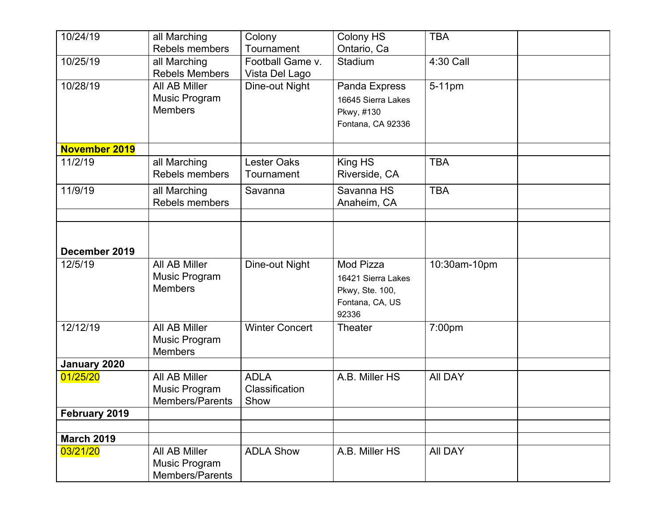| 10/24/19          | all Marching          | Colony                | Colony HS          | <b>TBA</b>     |  |
|-------------------|-----------------------|-----------------------|--------------------|----------------|--|
|                   | Rebels members        | Tournament            | Ontario, Ca        |                |  |
| 10/25/19          | all Marching          | Football Game v.      | Stadium            | 4:30 Call      |  |
|                   | <b>Rebels Members</b> | Vista Del Lago        |                    |                |  |
| 10/28/19          | All AB Miller         | Dine-out Night        | Panda Express      | 5-11pm         |  |
|                   | Music Program         |                       | 16645 Sierra Lakes |                |  |
|                   | <b>Members</b>        |                       | Pkwy, #130         |                |  |
|                   |                       |                       | Fontana, CA 92336  |                |  |
| November 2019     |                       |                       |                    |                |  |
| 11/2/19           | all Marching          | <b>Lester Oaks</b>    | King HS            | <b>TBA</b>     |  |
|                   | Rebels members        | Tournament            | Riverside, CA      |                |  |
| 11/9/19           | all Marching          | Savanna               | Savanna HS         | <b>TBA</b>     |  |
|                   | Rebels members        |                       | Anaheim, CA        |                |  |
|                   |                       |                       |                    |                |  |
|                   |                       |                       |                    |                |  |
|                   |                       |                       |                    |                |  |
| December 2019     |                       |                       |                    |                |  |
| 12/5/19           | All AB Miller         | Dine-out Night        | Mod Pizza          | 10:30am-10pm   |  |
|                   | Music Program         |                       | 16421 Sierra Lakes |                |  |
|                   | <b>Members</b>        |                       | Pkwy, Ste. 100,    |                |  |
|                   |                       |                       | Fontana, CA, US    |                |  |
|                   |                       |                       | 92336              |                |  |
| 12/12/19          | All AB Miller         | <b>Winter Concert</b> | <b>Theater</b>     | 7:00pm         |  |
|                   | Music Program         |                       |                    |                |  |
|                   | <b>Members</b>        |                       |                    |                |  |
| January 2020      |                       |                       |                    |                |  |
| 01/25/20          | All AB Miller         | <b>ADLA</b>           | A.B. Miller HS     | <b>All DAY</b> |  |
|                   | Music Program         | Classification        |                    |                |  |
|                   | Members/Parents       | Show                  |                    |                |  |
| February 2019     |                       |                       |                    |                |  |
| <b>March 2019</b> |                       |                       |                    |                |  |
| 03/21/20          | All AB Miller         | <b>ADLA Show</b>      | A.B. Miller HS     | <b>AII DAY</b> |  |
|                   | Music Program         |                       |                    |                |  |
|                   | Members/Parents       |                       |                    |                |  |